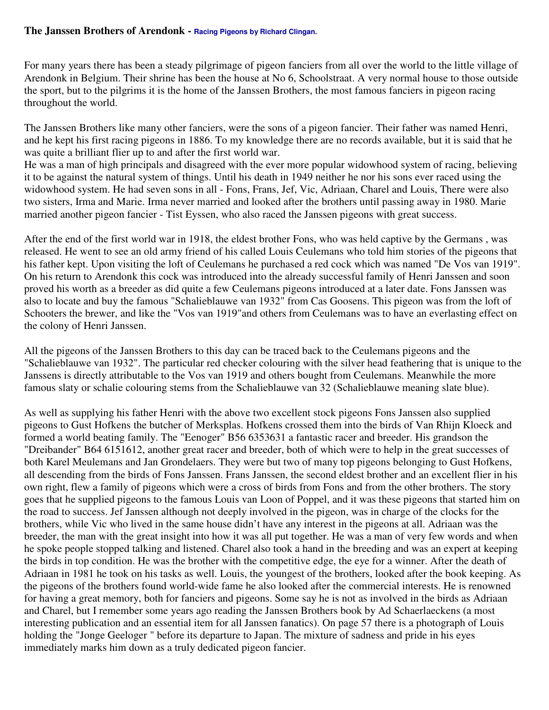## **The Janssen Brothers of Arendonk - Racing Pigeons by Richard Clingan.**

For many years there has been a steady pilgrimage of pigeon fanciers from all over the world to the little village of Arendonk in Belgium. Their shrine has been the house at No 6, Schoolstraat. A very normal house to those outside the sport, but to the pilgrims it is the home of the Janssen Brothers, the most famous fanciers in pigeon racing throughout the world.

The Janssen Brothers like many other fanciers, were the sons of a pigeon fancier. Their father was named Henri, and he kept his first racing pigeons in 1886. To my knowledge there are no records available, but it is said that he was quite a brilliant flier up to and after the first world war.

He was a man of high principals and disagreed with the ever more popular widowhood system of racing, believing it to be against the natural system of things. Until his death in 1949 neither he nor his sons ever raced using the widowhood system. He had seven sons in all - Fons, Frans, Jef, Vic, Adriaan, Charel and Louis, There were also two sisters, Irma and Marie. Irma never married and looked after the brothers until passing away in 1980. Marie married another pigeon fancier - Tist Eyssen, who also raced the Janssen pigeons with great success.

After the end of the first world war in 1918, the eldest brother Fons, who was held captive by the Germans , was released. He went to see an old army friend of his called Louis Ceulemans who told him stories of the pigeons that his father kept. Upon visiting the loft of Ceulemans he purchased a red cock which was named "De Vos van 1919". On his return to Arendonk this cock was introduced into the already successful family of Henri Janssen and soon proved his worth as a breeder as did quite a few Ceulemans pigeons introduced at a later date. Fons Janssen was also to locate and buy the famous "Schalieblauwe van 1932" from Cas Goosens. This pigeon was from the loft of Schooters the brewer, and like the "Vos van 1919"and others from Ceulemans was to have an everlasting effect on the colony of Henri Janssen.

All the pigeons of the Janssen Brothers to this day can be traced back to the Ceulemans pigeons and the "Schalieblauwe van 1932". The particular red checker colouring with the silver head feathering that is unique to the Janssens is directly attributable to the Vos van 1919 and others bought from Ceulemans. Meanwhile the more famous slaty or schalie colouring stems from the Schalieblauwe van 32 (Schalieblauwe meaning slate blue).

As well as supplying his father Henri with the above two excellent stock pigeons Fons Janssen also supplied pigeons to Gust Hofkens the butcher of Merksplas. Hofkens crossed them into the birds of Van Rhijn Kloeck and formed a world beating family. The "Eenoger" B56 6353631 a fantastic racer and breeder. His grandson the "Dreibander" B64 6151612, another great racer and breeder, both of which were to help in the great successes of both Karel Meulemans and Jan Grondelaers. They were but two of many top pigeons belonging to Gust Hofkens, all descending from the birds of Fons Janssen. Frans Janssen, the second eldest brother and an excellent flier in his own right, flew a family of pigeons which were a cross of birds from Fons and from the other brothers. The story goes that he supplied pigeons to the famous Louis van Loon of Poppel, and it was these pigeons that started him on the road to success. Jef Janssen although not deeply involved in the pigeon, was in charge of the clocks for the brothers, while Vic who lived in the same house didn't have any interest in the pigeons at all. Adriaan was the breeder, the man with the great insight into how it was all put together. He was a man of very few words and when he spoke people stopped talking and listened. Charel also took a hand in the breeding and was an expert at keeping the birds in top condition. He was the brother with the competitive edge, the eye for a winner. After the death of Adriaan in 1981 he took on his tasks as well. Louis, the youngest of the brothers, looked after the book keeping. As the pigeons of the brothers found world-wide fame he also looked after the commercial interests. He is renowned for having a great memory, both for fanciers and pigeons. Some say he is not as involved in the birds as Adriaan and Charel, but I remember some years ago reading the Janssen Brothers book by Ad Schaerlaeckens (a most interesting publication and an essential item for all Janssen fanatics). On page 57 there is a photograph of Louis holding the "Jonge Geeloger " before its departure to Japan. The mixture of sadness and pride in his eyes immediately marks him down as a truly dedicated pigeon fancier.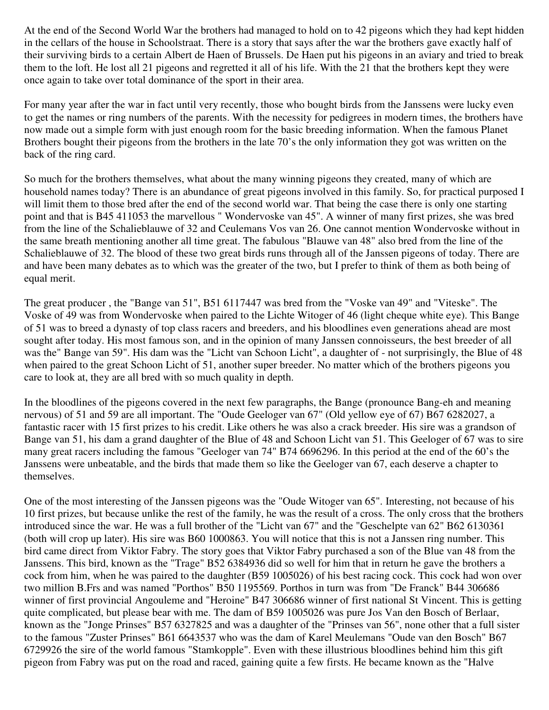At the end of the Second World War the brothers had managed to hold on to 42 pigeons which they had kept hidden in the cellars of the house in Schoolstraat. There is a story that says after the war the brothers gave exactly half of their surviving birds to a certain Albert de Haen of Brussels. De Haen put his pigeons in an aviary and tried to break them to the loft. He lost all 21 pigeons and regretted it all of his life. With the 21 that the brothers kept they were once again to take over total dominance of the sport in their area.

For many year after the war in fact until very recently, those who bought birds from the Janssens were lucky even to get the names or ring numbers of the parents. With the necessity for pedigrees in modern times, the brothers have now made out a simple form with just enough room for the basic breeding information. When the famous Planet Brothers bought their pigeons from the brothers in the late 70's the only information they got was written on the back of the ring card.

So much for the brothers themselves, what about the many winning pigeons they created, many of which are household names today? There is an abundance of great pigeons involved in this family. So, for practical purposed I will limit them to those bred after the end of the second world war. That being the case there is only one starting point and that is B45 411053 the marvellous " Wondervoske van 45". A winner of many first prizes, she was bred from the line of the Schalieblauwe of 32 and Ceulemans Vos van 26. One cannot mention Wondervoske without in the same breath mentioning another all time great. The fabulous "Blauwe van 48" also bred from the line of the Schalieblauwe of 32. The blood of these two great birds runs through all of the Janssen pigeons of today. There are and have been many debates as to which was the greater of the two, but I prefer to think of them as both being of equal merit.

The great producer , the "Bange van 51", B51 6117447 was bred from the "Voske van 49" and "Viteske". The Voske of 49 was from Wondervoske when paired to the Lichte Witoger of 46 (light cheque white eye). This Bange of 51 was to breed a dynasty of top class racers and breeders, and his bloodlines even generations ahead are most sought after today. His most famous son, and in the opinion of many Janssen connoisseurs, the best breeder of all was the" Bange van 59". His dam was the "Licht van Schoon Licht", a daughter of - not surprisingly, the Blue of 48 when paired to the great Schoon Licht of 51, another super breeder. No matter which of the brothers pigeons you care to look at, they are all bred with so much quality in depth.

In the bloodlines of the pigeons covered in the next few paragraphs, the Bange (pronounce Bang-eh and meaning nervous) of 51 and 59 are all important. The "Oude Geeloger van 67" (Old yellow eye of 67) B67 6282027, a fantastic racer with 15 first prizes to his credit. Like others he was also a crack breeder. His sire was a grandson of Bange van 51, his dam a grand daughter of the Blue of 48 and Schoon Licht van 51. This Geeloger of 67 was to sire many great racers including the famous "Geeloger van 74" B74 6696296. In this period at the end of the 60's the Janssens were unbeatable, and the birds that made them so like the Geeloger van 67, each deserve a chapter to themselves.

One of the most interesting of the Janssen pigeons was the "Oude Witoger van 65". Interesting, not because of his 10 first prizes, but because unlike the rest of the family, he was the result of a cross. The only cross that the brothers introduced since the war. He was a full brother of the "Licht van 67" and the "Geschelpte van 62" B62 6130361 (both will crop up later). His sire was B60 1000863. You will notice that this is not a Janssen ring number. This bird came direct from Viktor Fabry. The story goes that Viktor Fabry purchased a son of the Blue van 48 from the Janssens. This bird, known as the "Trage" B52 6384936 did so well for him that in return he gave the brothers a cock from him, when he was paired to the daughter (B59 1005026) of his best racing cock. This cock had won over two million B.Frs and was named "Porthos" B50 1195569. Porthos in turn was from "De Franck" B44 306686 winner of first provincial Angouleme and "Heroine" B47 306686 winner of first national St Vincent. This is getting quite complicated, but please bear with me. The dam of B59 1005026 was pure Jos Van den Bosch of Berlaar, known as the "Jonge Prinses" B57 6327825 and was a daughter of the "Prinses van 56", none other that a full sister to the famous "Zuster Prinses" B61 6643537 who was the dam of Karel Meulemans "Oude van den Bosch" B67 6729926 the sire of the world famous "Stamkopple". Even with these illustrious bloodlines behind him this gift pigeon from Fabry was put on the road and raced, gaining quite a few firsts. He became known as the "Halve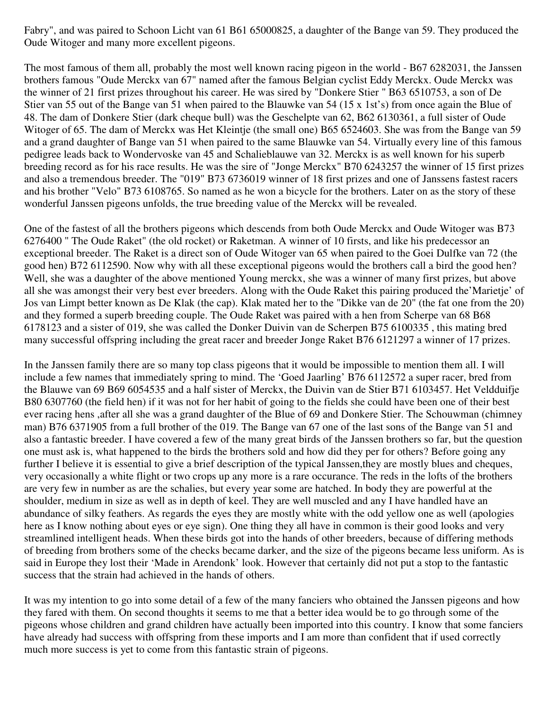Fabry", and was paired to Schoon Licht van 61 B61 65000825, a daughter of the Bange van 59. They produced the Oude Witoger and many more excellent pigeons.

The most famous of them all, probably the most well known racing pigeon in the world - B67 6282031, the Janssen brothers famous "Oude Merckx van 67" named after the famous Belgian cyclist Eddy Merckx. Oude Merckx was the winner of 21 first prizes throughout his career. He was sired by "Donkere Stier " B63 6510753, a son of De Stier van 55 out of the Bange van 51 when paired to the Blauwke van 54 (15 x 1st's) from once again the Blue of 48. The dam of Donkere Stier (dark cheque bull) was the Geschelpte van 62, B62 6130361, a full sister of Oude Witoger of 65. The dam of Merckx was Het Kleintje (the small one) B65 6524603. She was from the Bange van 59 and a grand daughter of Bange van 51 when paired to the same Blauwke van 54. Virtually every line of this famous pedigree leads back to Wondervoske van 45 and Schalieblauwe van 32. Merckx is as well known for his superb breeding record as for his race results. He was the sire of "Jonge Merckx" B70 6243257 the winner of 15 first prizes and also a tremendous breeder. The "019" B73 6736019 winner of 18 first prizes and one of Janssens fastest racers and his brother "Velo" B73 6108765. So named as he won a bicycle for the brothers. Later on as the story of these wonderful Janssen pigeons unfolds, the true breeding value of the Merckx will be revealed.

One of the fastest of all the brothers pigeons which descends from both Oude Merckx and Oude Witoger was B73 6276400 " The Oude Raket" (the old rocket) or Raketman. A winner of 10 firsts, and like his predecessor an exceptional breeder. The Raket is a direct son of Oude Witoger van 65 when paired to the Goei Dulfke van 72 (the good hen) B72 6112590. Now why with all these exceptional pigeons would the brothers call a bird the good hen? Well, she was a daughter of the above mentioned Young merckx, she was a winner of many first prizes, but above all she was amongst their very best ever breeders. Along with the Oude Raket this pairing produced the'Marietje' of Jos van Limpt better known as De Klak (the cap). Klak mated her to the "Dikke van de 20" (the fat one from the 20) and they formed a superb breeding couple. The Oude Raket was paired with a hen from Scherpe van 68 B68 6178123 and a sister of 019, she was called the Donker Duivin van de Scherpen B75 6100335 , this mating bred many successful offspring including the great racer and breeder Jonge Raket B76 6121297 a winner of 17 prizes.

In the Janssen family there are so many top class pigeons that it would be impossible to mention them all. I will include a few names that immediately spring to mind. The 'Goed Jaarling' B76 6112572 a super racer, bred from the Blauwe van 69 B69 6054535 and a half sister of Merckx, the Duivin van de Stier B71 6103457. Het Veldduifje B80 6307760 (the field hen) if it was not for her habit of going to the fields she could have been one of their best ever racing hens ,after all she was a grand daughter of the Blue of 69 and Donkere Stier. The Schouwman (chimney man) B76 6371905 from a full brother of the 019. The Bange van 67 one of the last sons of the Bange van 51 and also a fantastic breeder. I have covered a few of the many great birds of the Janssen brothers so far, but the question one must ask is, what happened to the birds the brothers sold and how did they per for others? Before going any further I believe it is essential to give a brief description of the typical Janssen,they are mostly blues and cheques, very occasionally a white flight or two crops up any more is a rare occurance. The reds in the lofts of the brothers are very few in number as are the schalies, but every year some are hatched. In body they are powerful at the shoulder, medium in size as well as in depth of keel. They are well muscled and any I have handled have an abundance of silky feathers. As regards the eyes they are mostly white with the odd yellow one as well (apologies here as I know nothing about eyes or eye sign). One thing they all have in common is their good looks and very streamlined intelligent heads. When these birds got into the hands of other breeders, because of differing methods of breeding from brothers some of the checks became darker, and the size of the pigeons became less uniform. As is said in Europe they lost their 'Made in Arendonk' look. However that certainly did not put a stop to the fantastic success that the strain had achieved in the hands of others.

It was my intention to go into some detail of a few of the many fanciers who obtained the Janssen pigeons and how they fared with them. On second thoughts it seems to me that a better idea would be to go through some of the pigeons whose children and grand children have actually been imported into this country. I know that some fanciers have already had success with offspring from these imports and I am more than confident that if used correctly much more success is yet to come from this fantastic strain of pigeons.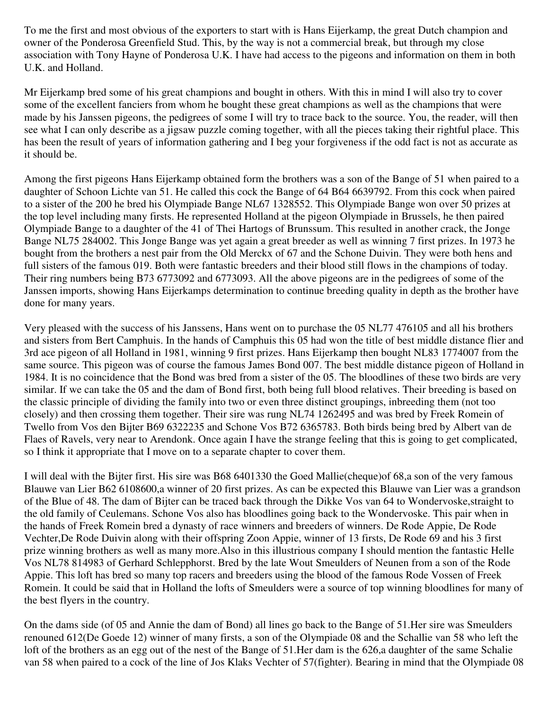To me the first and most obvious of the exporters to start with is Hans Eijerkamp, the great Dutch champion and owner of the Ponderosa Greenfield Stud. This, by the way is not a commercial break, but through my close association with Tony Hayne of Ponderosa U.K. I have had access to the pigeons and information on them in both U.K. and Holland.

Mr Eijerkamp bred some of his great champions and bought in others. With this in mind I will also try to cover some of the excellent fanciers from whom he bought these great champions as well as the champions that were made by his Janssen pigeons, the pedigrees of some I will try to trace back to the source. You, the reader, will then see what I can only describe as a jigsaw puzzle coming together, with all the pieces taking their rightful place. This has been the result of years of information gathering and I beg your forgiveness if the odd fact is not as accurate as it should be.

Among the first pigeons Hans Eijerkamp obtained form the brothers was a son of the Bange of 51 when paired to a daughter of Schoon Lichte van 51. He called this cock the Bange of 64 B64 6639792. From this cock when paired to a sister of the 200 he bred his Olympiade Bange NL67 1328552. This Olympiade Bange won over 50 prizes at the top level including many firsts. He represented Holland at the pigeon Olympiade in Brussels, he then paired Olympiade Bange to a daughter of the 41 of Thei Hartogs of Brunssum. This resulted in another crack, the Jonge Bange NL75 284002. This Jonge Bange was yet again a great breeder as well as winning 7 first prizes. In 1973 he bought from the brothers a nest pair from the Old Merckx of 67 and the Schone Duivin. They were both hens and full sisters of the famous 019. Both were fantastic breeders and their blood still flows in the champions of today. Their ring numbers being B73 6773092 and 6773093. All the above pigeons are in the pedigrees of some of the Janssen imports, showing Hans Eijerkamps determination to continue breeding quality in depth as the brother have done for many years.

Very pleased with the success of his Janssens, Hans went on to purchase the 05 NL77 476105 and all his brothers and sisters from Bert Camphuis. In the hands of Camphuis this 05 had won the title of best middle distance flier and 3rd ace pigeon of all Holland in 1981, winning 9 first prizes. Hans Eijerkamp then bought NL83 1774007 from the same source. This pigeon was of course the famous James Bond 007. The best middle distance pigeon of Holland in 1984. It is no coincidence that the Bond was bred from a sister of the 05. The bloodlines of these two birds are very similar. If we can take the 05 and the dam of Bond first, both being full blood relatives. Their breeding is based on the classic principle of dividing the family into two or even three distinct groupings, inbreeding them (not too closely) and then crossing them together. Their sire was rung NL74 1262495 and was bred by Freek Romein of Twello from Vos den Bijter B69 6322235 and Schone Vos B72 6365783. Both birds being bred by Albert van de Flaes of Ravels, very near to Arendonk. Once again I have the strange feeling that this is going to get complicated, so I think it appropriate that I move on to a separate chapter to cover them.

I will deal with the Bijter first. His sire was B68 6401330 the Goed Mallie(cheque)of 68,a son of the very famous Blauwe van Lier B62 6108600,a winner of 20 first prizes. As can be expected this Blauwe van Lier was a grandson of the Blue of 48. The dam of Bijter can be traced back through the Dikke Vos van 64 to Wondervoske,straight to the old family of Ceulemans. Schone Vos also has bloodlines going back to the Wondervoske. This pair when in the hands of Freek Romein bred a dynasty of race winners and breeders of winners. De Rode Appie, De Rode Vechter,De Rode Duivin along with their offspring Zoon Appie, winner of 13 firsts, De Rode 69 and his 3 first prize winning brothers as well as many more.Also in this illustrious company I should mention the fantastic Helle Vos NL78 814983 of Gerhard Schlepphorst. Bred by the late Wout Smeulders of Neunen from a son of the Rode Appie. This loft has bred so many top racers and breeders using the blood of the famous Rode Vossen of Freek Romein. It could be said that in Holland the lofts of Smeulders were a source of top winning bloodlines for many of the best flyers in the country.

On the dams side (of 05 and Annie the dam of Bond) all lines go back to the Bange of 51.Her sire was Smeulders renouned 612(De Goede 12) winner of many firsts, a son of the Olympiade 08 and the Schallie van 58 who left the loft of the brothers as an egg out of the nest of the Bange of 51.Her dam is the 626,a daughter of the same Schalie van 58 when paired to a cock of the line of Jos Klaks Vechter of 57(fighter). Bearing in mind that the Olympiade 08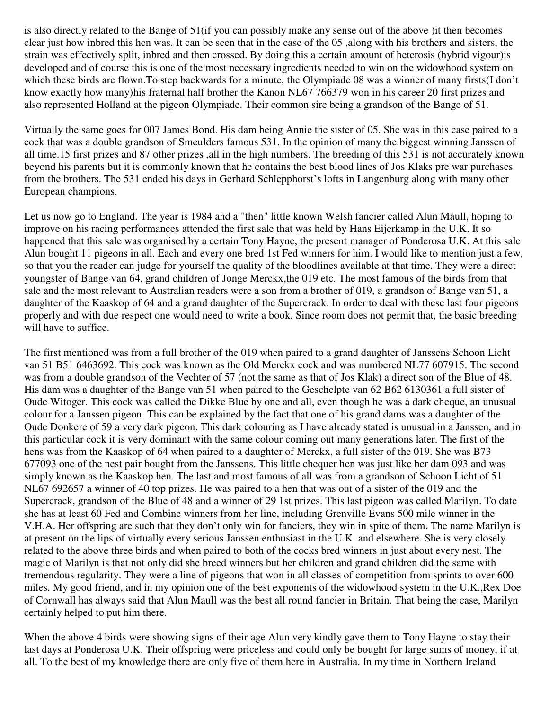is also directly related to the Bange of 51(if you can possibly make any sense out of the above )it then becomes clear just how inbred this hen was. It can be seen that in the case of the 05 ,along with his brothers and sisters, the strain was effectively split, inbred and then crossed. By doing this a certain amount of heterosis (hybrid vigour)is developed and of course this is one of the most necessary ingredients needed to win on the widowhood system on which these birds are flown. To step backwards for a minute, the Olympiade 08 was a winner of many firsts(I don't know exactly how many)his fraternal half brother the Kanon NL67 766379 won in his career 20 first prizes and also represented Holland at the pigeon Olympiade. Their common sire being a grandson of the Bange of 51.

Virtually the same goes for 007 James Bond. His dam being Annie the sister of 05. She was in this case paired to a cock that was a double grandson of Smeulders famous 531. In the opinion of many the biggest winning Janssen of all time.15 first prizes and 87 other prizes ,all in the high numbers. The breeding of this 531 is not accurately known beyond his parents but it is commonly known that he contains the best blood lines of Jos Klaks pre war purchases from the brothers. The 531 ended his days in Gerhard Schlepphorst's lofts in Langenburg along with many other European champions.

Let us now go to England. The year is 1984 and a "then" little known Welsh fancier called Alun Maull, hoping to improve on his racing performances attended the first sale that was held by Hans Eijerkamp in the U.K. It so happened that this sale was organised by a certain Tony Hayne, the present manager of Ponderosa U.K. At this sale Alun bought 11 pigeons in all. Each and every one bred 1st Fed winners for him. I would like to mention just a few, so that you the reader can judge for yourself the quality of the bloodlines available at that time. They were a direct youngster of Bange van 64, grand children of Jonge Merckx,the 019 etc. The most famous of the birds from that sale and the most relevant to Australian readers were a son from a brother of 019, a grandson of Bange van 51, a daughter of the Kaaskop of 64 and a grand daughter of the Supercrack. In order to deal with these last four pigeons properly and with due respect one would need to write a book. Since room does not permit that, the basic breeding will have to suffice.

The first mentioned was from a full brother of the 019 when paired to a grand daughter of Janssens Schoon Licht van 51 B51 6463692. This cock was known as the Old Merckx cock and was numbered NL77 607915. The second was from a double grandson of the Vechter of 57 (not the same as that of Jos Klak) a direct son of the Blue of 48. His dam was a daughter of the Bange van 51 when paired to the Geschelpte van 62 B62 6130361 a full sister of Oude Witoger. This cock was called the Dikke Blue by one and all, even though he was a dark cheque, an unusual colour for a Janssen pigeon. This can be explained by the fact that one of his grand dams was a daughter of the Oude Donkere of 59 a very dark pigeon. This dark colouring as I have already stated is unusual in a Janssen, and in this particular cock it is very dominant with the same colour coming out many generations later. The first of the hens was from the Kaaskop of 64 when paired to a daughter of Merckx, a full sister of the 019. She was B73 677093 one of the nest pair bought from the Janssens. This little chequer hen was just like her dam 093 and was simply known as the Kaaskop hen. The last and most famous of all was from a grandson of Schoon Licht of 51 NL67 692657 a winner of 40 top prizes. He was paired to a hen that was out of a sister of the 019 and the Supercrack, grandson of the Blue of 48 and a winner of 29 1st prizes. This last pigeon was called Marilyn. To date she has at least 60 Fed and Combine winners from her line, including Grenville Evans 500 mile winner in the V.H.A. Her offspring are such that they don't only win for fanciers, they win in spite of them. The name Marilyn is at present on the lips of virtually every serious Janssen enthusiast in the U.K. and elsewhere. She is very closely related to the above three birds and when paired to both of the cocks bred winners in just about every nest. The magic of Marilyn is that not only did she breed winners but her children and grand children did the same with tremendous regularity. They were a line of pigeons that won in all classes of competition from sprints to over 600 miles. My good friend, and in my opinion one of the best exponents of the widowhood system in the U.K.,Rex Doe of Cornwall has always said that Alun Maull was the best all round fancier in Britain. That being the case, Marilyn certainly helped to put him there.

When the above 4 birds were showing signs of their age Alun very kindly gave them to Tony Hayne to stay their last days at Ponderosa U.K. Their offspring were priceless and could only be bought for large sums of money, if at all. To the best of my knowledge there are only five of them here in Australia. In my time in Northern Ireland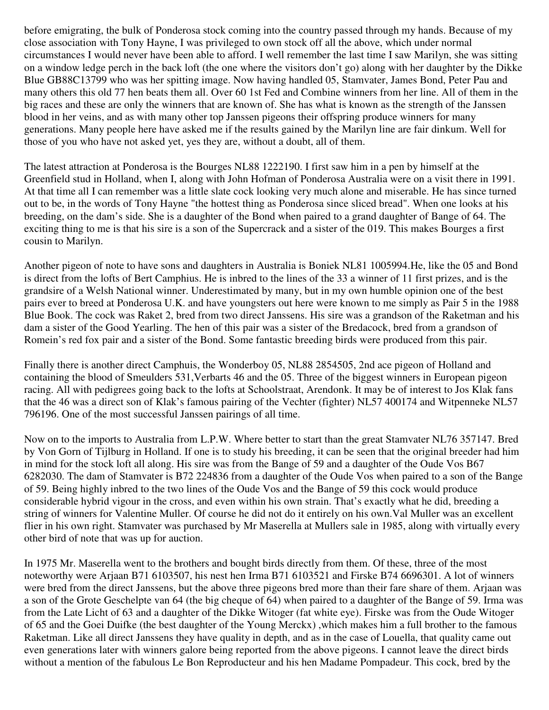before emigrating, the bulk of Ponderosa stock coming into the country passed through my hands. Because of my close association with Tony Hayne, I was privileged to own stock off all the above, which under normal circumstances I would never have been able to afford. I well remember the last time I saw Marilyn, she was sitting on a window ledge perch in the back loft (the one where the visitors don't go) along with her daughter by the Dikke Blue GB88C13799 who was her spitting image. Now having handled 05, Stamvater, James Bond, Peter Pau and many others this old 77 hen beats them all. Over 60 1st Fed and Combine winners from her line. All of them in the big races and these are only the winners that are known of. She has what is known as the strength of the Janssen blood in her veins, and as with many other top Janssen pigeons their offspring produce winners for many generations. Many people here have asked me if the results gained by the Marilyn line are fair dinkum. Well for those of you who have not asked yet, yes they are, without a doubt, all of them.

The latest attraction at Ponderosa is the Bourges NL88 1222190. I first saw him in a pen by himself at the Greenfield stud in Holland, when I, along with John Hofman of Ponderosa Australia were on a visit there in 1991. At that time all I can remember was a little slate cock looking very much alone and miserable. He has since turned out to be, in the words of Tony Hayne "the hottest thing as Ponderosa since sliced bread". When one looks at his breeding, on the dam's side. She is a daughter of the Bond when paired to a grand daughter of Bange of 64. The exciting thing to me is that his sire is a son of the Supercrack and a sister of the 019. This makes Bourges a first cousin to Marilyn.

Another pigeon of note to have sons and daughters in Australia is Boniek NL81 1005994.He, like the 05 and Bond is direct from the lofts of Bert Camphius. He is inbred to the lines of the 33 a winner of 11 first prizes, and is the grandsire of a Welsh National winner. Underestimated by many, but in my own humble opinion one of the best pairs ever to breed at Ponderosa U.K. and have youngsters out here were known to me simply as Pair 5 in the 1988 Blue Book. The cock was Raket 2, bred from two direct Janssens. His sire was a grandson of the Raketman and his dam a sister of the Good Yearling. The hen of this pair was a sister of the Bredacock, bred from a grandson of Romein's red fox pair and a sister of the Bond. Some fantastic breeding birds were produced from this pair.

Finally there is another direct Camphuis, the Wonderboy 05, NL88 2854505, 2nd ace pigeon of Holland and containing the blood of Smeulders 531,Verbarts 46 and the 05. Three of the biggest winners in European pigeon racing. All with pedigrees going back to the lofts at Schoolstraat, Arendonk. It may be of interest to Jos Klak fans that the 46 was a direct son of Klak's famous pairing of the Vechter (fighter) NL57 400174 and Witpenneke NL57 796196. One of the most successful Janssen pairings of all time.

Now on to the imports to Australia from L.P.W. Where better to start than the great Stamvater NL76 357147. Bred by Von Gorn of Tijlburg in Holland. If one is to study his breeding, it can be seen that the original breeder had him in mind for the stock loft all along. His sire was from the Bange of 59 and a daughter of the Oude Vos B67 6282030. The dam of Stamvater is B72 224836 from a daughter of the Oude Vos when paired to a son of the Bange of 59. Being highly inbred to the two lines of the Oude Vos and the Bange of 59 this cock would produce considerable hybrid vigour in the cross, and even within his own strain. That's exactly what he did, breeding a string of winners for Valentine Muller. Of course he did not do it entirely on his own.Val Muller was an excellent flier in his own right. Stamvater was purchased by Mr Maserella at Mullers sale in 1985, along with virtually every other bird of note that was up for auction.

In 1975 Mr. Maserella went to the brothers and bought birds directly from them. Of these, three of the most noteworthy were Arjaan B71 6103507, his nest hen Irma B71 6103521 and Firske B74 6696301. A lot of winners were bred from the direct Janssens, but the above three pigeons bred more than their fare share of them. Arjaan was a son of the Grote Geschelpte van 64 (the big cheque of 64) when paired to a daughter of the Bange of 59. Irma was from the Late Licht of 63 and a daughter of the Dikke Witoger (fat white eye). Firske was from the Oude Witoger of 65 and the Goei Duifke (the best daughter of the Young Merckx) ,which makes him a full brother to the famous Raketman. Like all direct Janssens they have quality in depth, and as in the case of Louella, that quality came out even generations later with winners galore being reported from the above pigeons. I cannot leave the direct birds without a mention of the fabulous Le Bon Reproducteur and his hen Madame Pompadeur. This cock, bred by the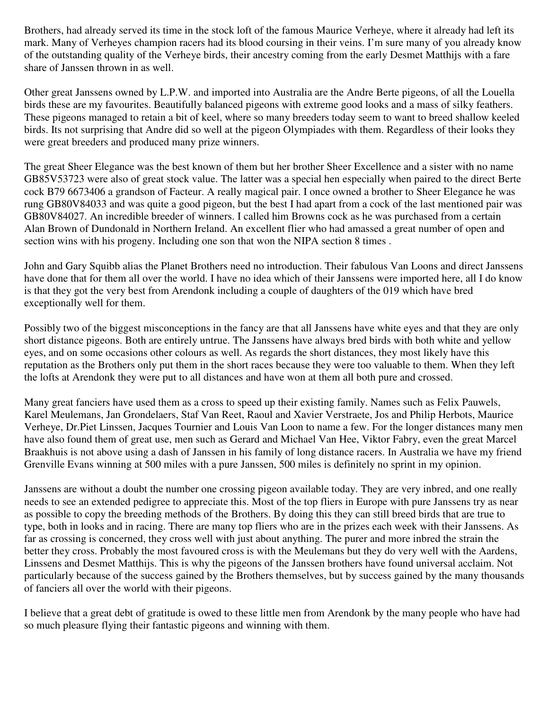Brothers, had already served its time in the stock loft of the famous Maurice Verheye, where it already had left its mark. Many of Verheyes champion racers had its blood coursing in their veins. I'm sure many of you already know of the outstanding quality of the Verheye birds, their ancestry coming from the early Desmet Matthijs with a fare share of Janssen thrown in as well.

Other great Janssens owned by L.P.W. and imported into Australia are the Andre Berte pigeons, of all the Louella birds these are my favourites. Beautifully balanced pigeons with extreme good looks and a mass of silky feathers. These pigeons managed to retain a bit of keel, where so many breeders today seem to want to breed shallow keeled birds. Its not surprising that Andre did so well at the pigeon Olympiades with them. Regardless of their looks they were great breeders and produced many prize winners.

The great Sheer Elegance was the best known of them but her brother Sheer Excellence and a sister with no name GB85V53723 were also of great stock value. The latter was a special hen especially when paired to the direct Berte cock B79 6673406 a grandson of Facteur. A really magical pair. I once owned a brother to Sheer Elegance he was rung GB80V84033 and was quite a good pigeon, but the best I had apart from a cock of the last mentioned pair was GB80V84027. An incredible breeder of winners. I called him Browns cock as he was purchased from a certain Alan Brown of Dundonald in Northern Ireland. An excellent flier who had amassed a great number of open and section wins with his progeny. Including one son that won the NIPA section 8 times .

John and Gary Squibb alias the Planet Brothers need no introduction. Their fabulous Van Loons and direct Janssens have done that for them all over the world. I have no idea which of their Janssens were imported here, all I do know is that they got the very best from Arendonk including a couple of daughters of the 019 which have bred exceptionally well for them.

Possibly two of the biggest misconceptions in the fancy are that all Janssens have white eyes and that they are only short distance pigeons. Both are entirely untrue. The Janssens have always bred birds with both white and yellow eyes, and on some occasions other colours as well. As regards the short distances, they most likely have this reputation as the Brothers only put them in the short races because they were too valuable to them. When they left the lofts at Arendonk they were put to all distances and have won at them all both pure and crossed.

Many great fanciers have used them as a cross to speed up their existing family. Names such as Felix Pauwels, Karel Meulemans, Jan Grondelaers, Staf Van Reet, Raoul and Xavier Verstraete, Jos and Philip Herbots, Maurice Verheye, Dr.Piet Linssen, Jacques Tournier and Louis Van Loon to name a few. For the longer distances many men have also found them of great use, men such as Gerard and Michael Van Hee, Viktor Fabry, even the great Marcel Braakhuis is not above using a dash of Janssen in his family of long distance racers. In Australia we have my friend Grenville Evans winning at 500 miles with a pure Janssen, 500 miles is definitely no sprint in my opinion.

Janssens are without a doubt the number one crossing pigeon available today. They are very inbred, and one really needs to see an extended pedigree to appreciate this. Most of the top fliers in Europe with pure Janssens try as near as possible to copy the breeding methods of the Brothers. By doing this they can still breed birds that are true to type, both in looks and in racing. There are many top fliers who are in the prizes each week with their Janssens. As far as crossing is concerned, they cross well with just about anything. The purer and more inbred the strain the better they cross. Probably the most favoured cross is with the Meulemans but they do very well with the Aardens, Linssens and Desmet Matthijs. This is why the pigeons of the Janssen brothers have found universal acclaim. Not particularly because of the success gained by the Brothers themselves, but by success gained by the many thousands of fanciers all over the world with their pigeons.

I believe that a great debt of gratitude is owed to these little men from Arendonk by the many people who have had so much pleasure flying their fantastic pigeons and winning with them.